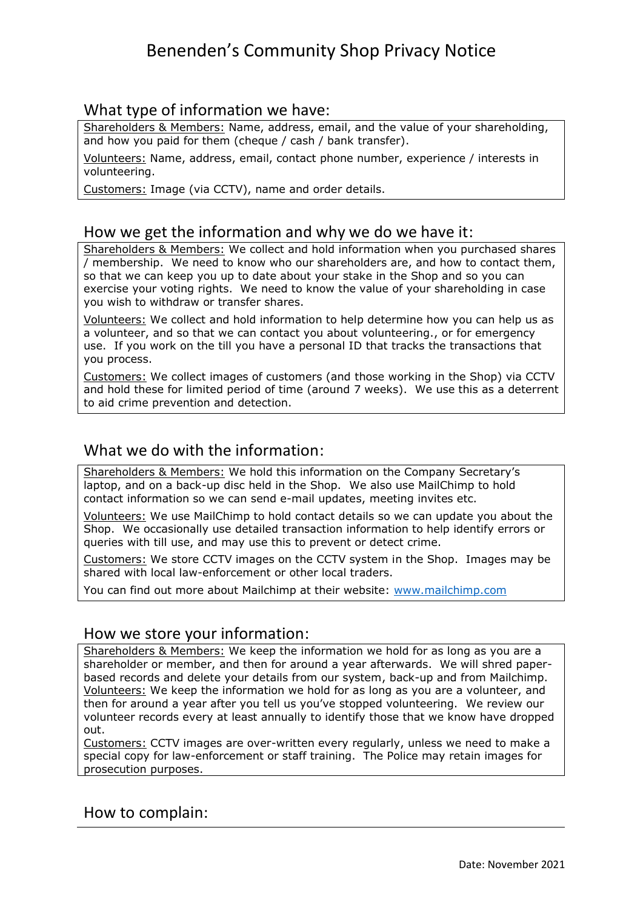# Benenden's Community Shop Privacy Notice

### What type of information we have:

Shareholders & Members: Name, address, email, and the value of your shareholding, and how you paid for them (cheque / cash / bank transfer).

Volunteers: Name, address, email, contact phone number, experience / interests in volunteering.

Customers: Image (via CCTV), name and order details.

### How we get the information and why we do we have it:

Shareholders & Members: We collect and hold information when you purchased shares / membership. We need to know who our shareholders are, and how to contact them, so that we can keep you up to date about your stake in the Shop and so you can exercise your voting rights. We need to know the value of your shareholding in case you wish to withdraw or transfer shares.

Volunteers: We collect and hold information to help determine how you can help us as a volunteer, and so that we can contact you about volunteering., or for emergency use. If you work on the till you have a personal ID that tracks the transactions that you process.

Customers: We collect images of customers (and those working in the Shop) via CCTV and hold these for limited period of time (around 7 weeks). We use this as a deterrent to aid crime prevention and detection.

## What we do with the information:

Shareholders & Members: We hold this information on the Company Secretary's laptop, and on a back-up disc held in the Shop. We also use MailChimp to hold contact information so we can send e-mail updates, meeting invites etc.

Volunteers: We use MailChimp to hold contact details so we can update you about the Shop. We occasionally use detailed transaction information to help identify errors or queries with till use, and may use this to prevent or detect crime.

Customers: We store CCTV images on the CCTV system in the Shop. Images may be shared with local law-enforcement or other local traders.

You can find out more about Mailchimp at their website: [www.mailchimp.com](http://www.mailchimp.com/)

#### How we store your information:

Shareholders & Members: We keep the information we hold for as long as you are a shareholder or member, and then for around a year afterwards. We will shred paperbased records and delete your details from our system, back-up and from Mailchimp. Volunteers: We keep the information we hold for as long as you are a volunteer, and then for around a year after you tell us you've stopped volunteering. We review our volunteer records every at least annually to identify those that we know have dropped out.

Customers: CCTV images are over-written every regularly, unless we need to make a special copy for law-enforcement or staff training. The Police may retain images for prosecution purposes.

#### How to complain: